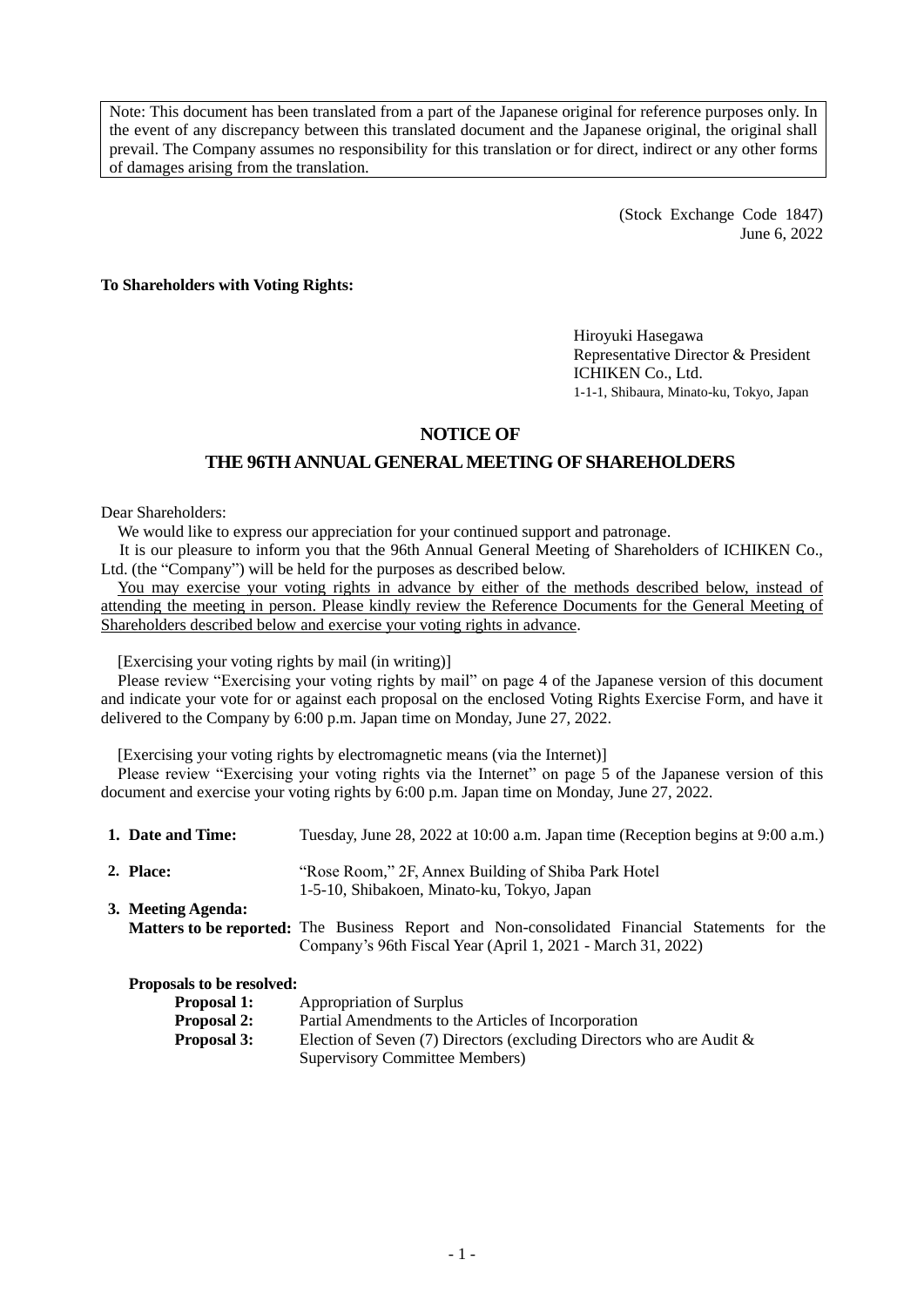Note: This document has been translated from a part of the Japanese original for reference purposes only. In the event of any discrepancy between this translated document and the Japanese original, the original shall prevail. The Company assumes no responsibility for this translation or for direct, indirect or any other forms of damages arising from the translation.

> (Stock Exchange Code 1847) June 6, 2022

**To Shareholders with Voting Rights:**

Hiroyuki Hasegawa Representative Director & President ICHIKEN Co., Ltd. 1-1-1, Shibaura, Minato-ku, Tokyo, Japan

## **NOTICE OF**

## **THE 96THANNUAL GENERAL MEETING OF SHAREHOLDERS**

Dear Shareholders:

We would like to express our appreciation for your continued support and patronage.

It is our pleasure to inform you that the 96th Annual General Meeting of Shareholders of ICHIKEN Co., Ltd. (the "Company") will be held for the purposes as described below.

You may exercise your voting rights in advance by either of the methods described below, instead of attending the meeting in person. Please kindly review the Reference Documents for the General Meeting of Shareholders described below and exercise your voting rights in advance.

[Exercising your voting rights by mail (in writing)]

Please review "Exercising your voting rights by mail" on page 4 of the Japanese version of this document and indicate your vote for or against each proposal on the enclosed Voting Rights Exercise Form, and have it delivered to the Company by 6:00 p.m. Japan time on Monday, June 27, 2022.

[Exercising your voting rights by electromagnetic means (via the Internet)]

Please review "Exercising your voting rights via the Internet" on page 5 of the Japanese version of this document and exercise your voting rights by 6:00 p.m. Japan time on Monday, June 27, 2022.

| 1. Date and Time:            | Tuesday, June 28, 2022 at 10:00 a.m. Japan time (Reception begins at 9:00 a.m.)                                                                                                                                                                                                                        |  |  |  |
|------------------------------|--------------------------------------------------------------------------------------------------------------------------------------------------------------------------------------------------------------------------------------------------------------------------------------------------------|--|--|--|
| 2. Place:                    | "Rose Room," 2F, Annex Building of Shiba Park Hotel"<br>1-5-10, Shibakoen, Minato-ku, Tokyo, Japan                                                                                                                                                                                                     |  |  |  |
| 3. Meeting Agenda:           |                                                                                                                                                                                                                                                                                                        |  |  |  |
|                              | <b>Matters to be reported:</b> The Business Report and Non-consolidated Financial Statements for the<br>Company's 96th Fiscal Year (April 1, 2021 - March 31, 2022)                                                                                                                                    |  |  |  |
| Proposals to be resolved:    |                                                                                                                                                                                                                                                                                                        |  |  |  |
| Proposal 1:                  | <b>Appropriation of Surplus</b>                                                                                                                                                                                                                                                                        |  |  |  |
| $\mathbf{r}$ is $\mathbf{r}$ | $\mathbf{D}$ $\mathbf{A}$ and $\mathbf{A}$ and $\mathbf{A}$ and $\mathbf{A}$ and $\mathbf{A}$ and $\mathbf{A}$ and $\mathbf{A}$ and $\mathbf{A}$ and $\mathbf{A}$ and $\mathbf{A}$ and $\mathbf{A}$ and $\mathbf{A}$ and $\mathbf{A}$ and $\mathbf{A}$ and $\mathbf{A}$ and $\mathbf{A}$ and $\mathbf$ |  |  |  |

| <b>Proposal 2:</b> | Partial Amendments to the Articles of Incorporation                  |
|--------------------|----------------------------------------------------------------------|
| Proposal 3:        | Election of Seven (7) Directors (excluding Directors who are Audit & |
|                    | Supervisory Committee Members)                                       |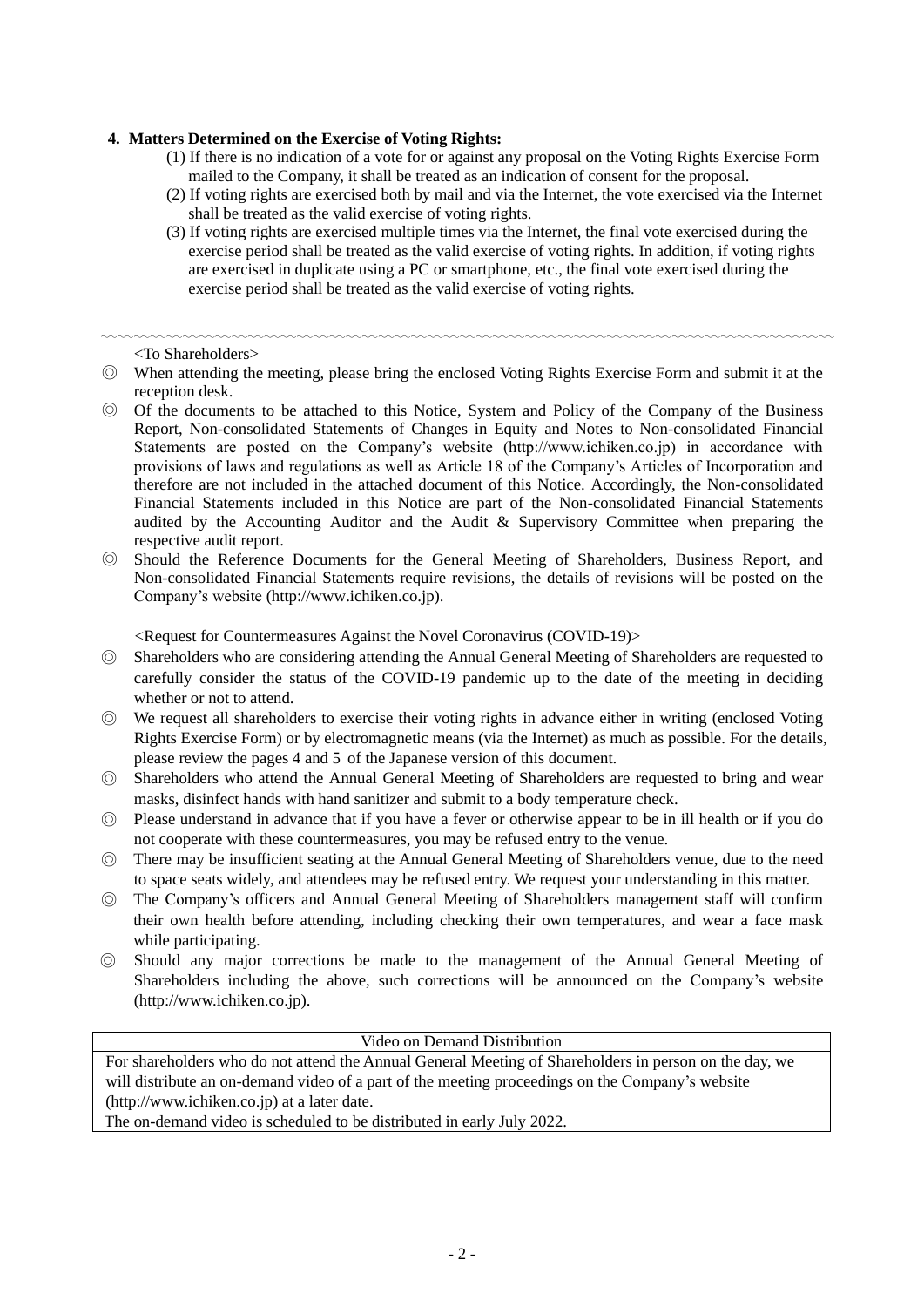### **4. Matters Determined on the Exercise of Voting Rights:**

- (1) If there is no indication of a vote for or against any proposal on the Voting Rights Exercise Form mailed to the Company, it shall be treated as an indication of consent for the proposal.
- (2) If voting rights are exercised both by mail and via the Internet, the vote exercised via the Internet shall be treated as the valid exercise of voting rights.
- (3) If voting rights are exercised multiple times via the Internet, the final vote exercised during the exercise period shall be treated as the valid exercise of voting rights. In addition, if voting rights are exercised in duplicate using a PC or smartphone, etc., the final vote exercised during the exercise period shall be treated as the valid exercise of voting rights.

〰〰〰〰〰〰〰〰〰〰〰〰〰〰〰〰〰〰〰〰〰〰〰〰〰〰〰〰〰〰〰〰〰〰〰〰〰〰〰〰〰〰〰〰〰 <To Shareholders>

- ◎ When attending the meeting, please bring the enclosed Voting Rights Exercise Form and submit it at the reception desk.
- ◎ Of the documents to be attached to this Notice, System and Policy of the Company of the Business Report, Non-consolidated Statements of Changes in Equity and Notes to Non-consolidated Financial Statements are posted on the Company's website (http://www.ichiken.co.jp) in accordance with provisions of laws and regulations as well as Article 18 of the Company's Articles of Incorporation and therefore are not included in the attached document of this Notice. Accordingly, the Non-consolidated Financial Statements included in this Notice are part of the Non-consolidated Financial Statements audited by the Accounting Auditor and the Audit & Supervisory Committee when preparing the respective audit report.
- ◎ Should the Reference Documents for the General Meeting of Shareholders, Business Report, and Non-consolidated Financial Statements require revisions, the details of revisions will be posted on the Company's website (http://www.ichiken.co.jp).

<Request for Countermeasures Against the Novel Coronavirus (COVID-19)>

- ◎ Shareholders who are considering attending the Annual General Meeting of Shareholders are requested to carefully consider the status of the COVID-19 pandemic up to the date of the meeting in deciding whether or not to attend.
- ◎ We request all shareholders to exercise their voting rights in advance either in writing (enclosed Voting Rights Exercise Form) or by electromagnetic means (via the Internet) as much as possible. For the details, please review the pages 4 and 5 of the Japanese version of this document.
- ◎ Shareholders who attend the Annual General Meeting of Shareholders are requested to bring and wear masks, disinfect hands with hand sanitizer and submit to a body temperature check.
- ◎ Please understand in advance that if you have a fever or otherwise appear to be in ill health or if you do not cooperate with these countermeasures, you may be refused entry to the venue.
- ◎ There may be insufficient seating at the Annual General Meeting of Shareholders venue, due to the need to space seats widely, and attendees may be refused entry. We request your understanding in this matter.
- ◎ The Company's officers and Annual General Meeting of Shareholders management staff will confirm their own health before attending, including checking their own temperatures, and wear a face mask while participating.
- ◎ Should any major corrections be made to the management of the Annual General Meeting of Shareholders including the above, such corrections will be announced on the Company's website (http://www.ichiken.co.jp).

Video on Demand Distribution

For shareholders who do not attend the Annual General Meeting of Shareholders in person on the day, we will distribute an on-demand video of a part of the meeting proceedings on the Company's website [\(http://www.ichiken.co.jp\)](http://www.ichiken.co.jp/) at a later date.

The on-demand video is scheduled to be distributed in early July 2022.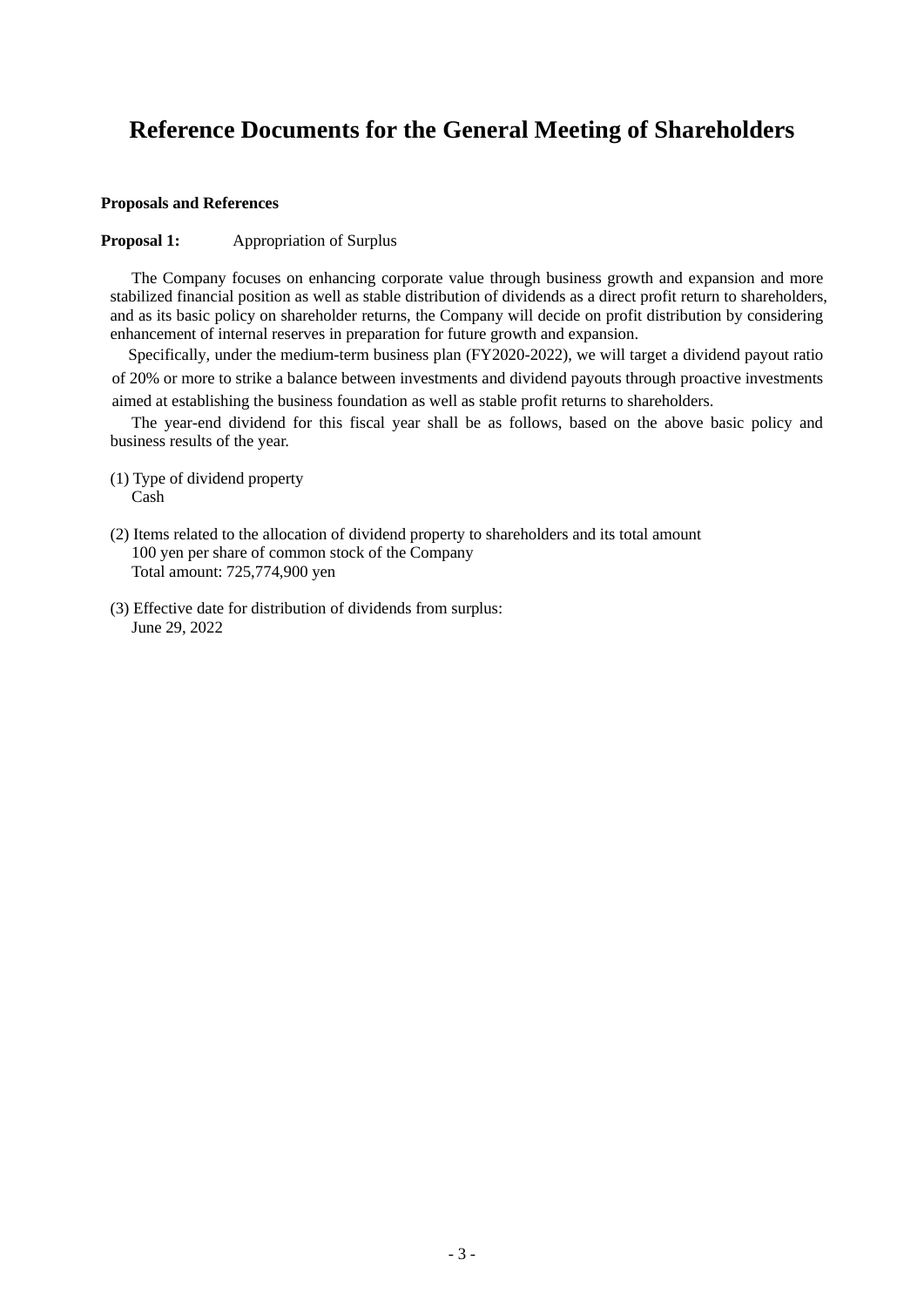# **Reference Documents for the General Meeting of Shareholders**

#### **Proposals and References**

#### **Proposal 1:** Appropriation of Surplus

The Company focuses on enhancing corporate value through business growth and expansion and more stabilized financial position as well as stable distribution of dividends as a direct profit return to shareholders, and as its basic policy on shareholder returns, the Company will decide on profit distribution by considering enhancement of internal reserves in preparation for future growth and expansion.

Specifically, under the medium-term business plan (FY2020-2022), we will target a dividend payout ratio of 20% or more to strike a balance between investments and dividend payouts through proactive investments aimed at establishing the business foundation as well as stable profit returns to shareholders.

The year-end dividend for this fiscal year shall be as follows, based on the above basic policy and business results of the year.

- (1) Type of dividend property Cash
- (2) Items related to the allocation of dividend property to shareholders and its total amount 100 yen per share of common stock of the Company Total amount: 725,774,900 yen
- (3) Effective date for distribution of dividends from surplus: June 29, 2022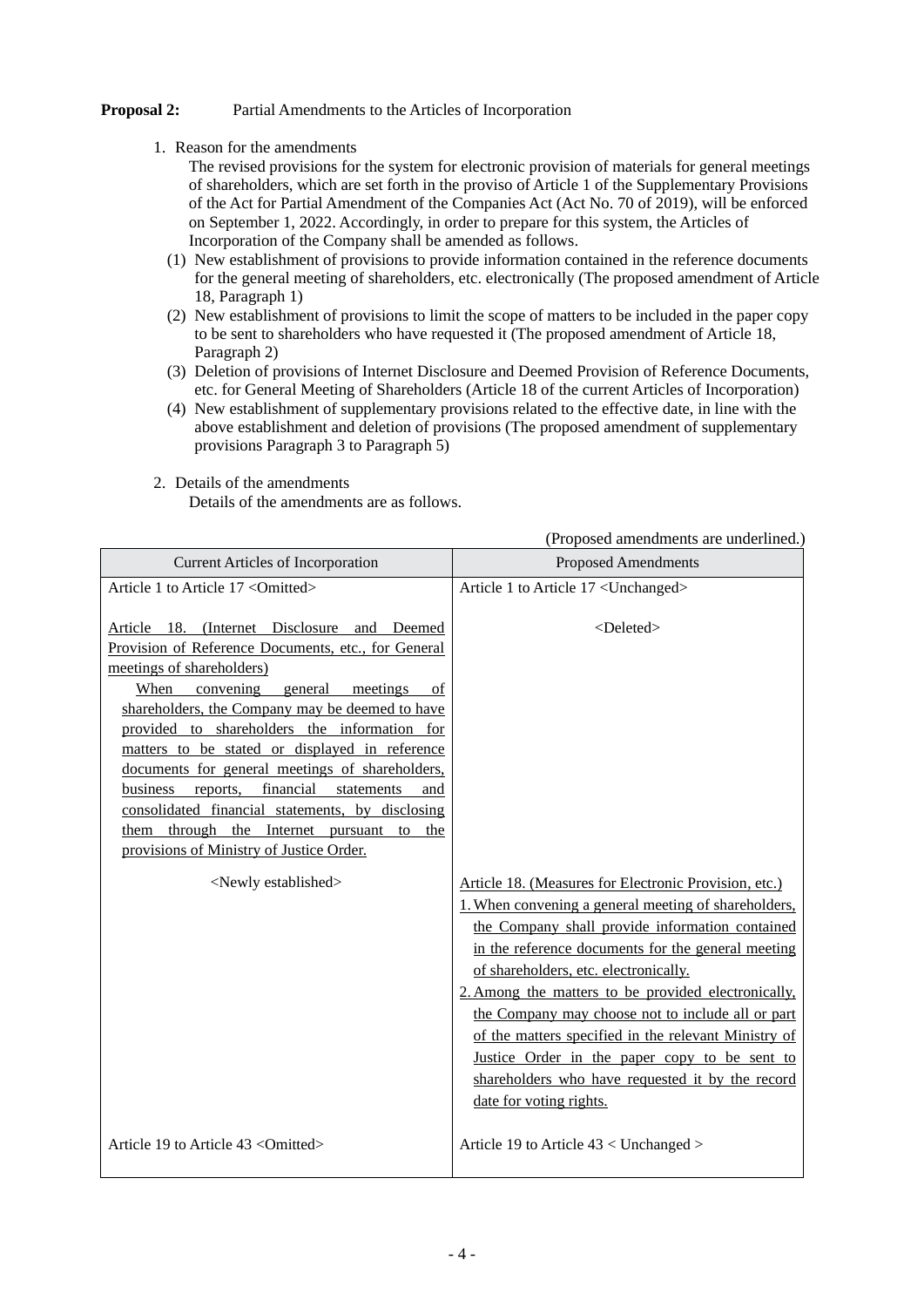### **Proposal 2:** Partial Amendments to the Articles of Incorporation

1. Reason for the amendments

The revised provisions for the system for electronic provision of materials for general meetings of shareholders, which are set forth in the proviso of Article 1 of the Supplementary Provisions of the Act for Partial Amendment of the Companies Act (Act No. 70 of 2019), will be enforced on September 1, 2022. Accordingly, in order to prepare for this system, the Articles of Incorporation of the Company shall be amended as follows.

- (1) New establishment of provisions to provide information contained in the reference documents for the general meeting of shareholders, etc. electronically (The proposed amendment of Article 18, Paragraph 1)
- (2) New establishment of provisions to limit the scope of matters to be included in the paper copy to be sent to shareholders who have requested it (The proposed amendment of Article 18, Paragraph 2)
- (3) Deletion of provisions of Internet Disclosure and Deemed Provision of Reference Documents, etc. for General Meeting of Shareholders (Article 18 of the current Articles of Incorporation)
- (4) New establishment of supplementary provisions related to the effective date, in line with the above establishment and deletion of provisions (The proposed amendment of supplementary provisions Paragraph 3 to Paragraph 5)

(Proposed amendments are underlined.)

| <b>Current Articles of Incorporation</b>                                                                                                                                                                                                                                                                                                                                                                                                                                                                                                                                                            | <b>Proposed Amendments</b>                                                                                                                                                                                                                                                                                                                                                                                                                                                                                                                                          |  |  |  |
|-----------------------------------------------------------------------------------------------------------------------------------------------------------------------------------------------------------------------------------------------------------------------------------------------------------------------------------------------------------------------------------------------------------------------------------------------------------------------------------------------------------------------------------------------------------------------------------------------------|---------------------------------------------------------------------------------------------------------------------------------------------------------------------------------------------------------------------------------------------------------------------------------------------------------------------------------------------------------------------------------------------------------------------------------------------------------------------------------------------------------------------------------------------------------------------|--|--|--|
| Article 1 to Article 17 < Omitted>                                                                                                                                                                                                                                                                                                                                                                                                                                                                                                                                                                  | Article 1 to Article 17 <unchanged></unchanged>                                                                                                                                                                                                                                                                                                                                                                                                                                                                                                                     |  |  |  |
| Article 18. (Internet Disclosure and Deemed<br>Provision of Reference Documents, etc., for General<br>meetings of shareholders)<br>convening<br>When<br>general<br>meetings<br>of<br>shareholders, the Company may be deemed to have<br>provided to shareholders the information for<br>matters to be stated or displayed in reference<br>documents for general meetings of shareholders,<br>financial<br>business<br>reports,<br>statements<br>and<br>consolidated financial statements, by disclosing<br>them through the Internet pursuant to<br>the<br>provisions of Ministry of Justice Order. | <deleted></deleted>                                                                                                                                                                                                                                                                                                                                                                                                                                                                                                                                                 |  |  |  |
| <newly established=""></newly>                                                                                                                                                                                                                                                                                                                                                                                                                                                                                                                                                                      | Article 18. (Measures for Electronic Provision, etc.)<br>1. When convening a general meeting of shareholders,<br>the Company shall provide information contained<br>in the reference documents for the general meeting<br>of shareholders, etc. electronically.<br>2. Among the matters to be provided electronically,<br>the Company may choose not to include all or part<br>of the matters specified in the relevant Ministry of<br>Justice Order in the paper copy to be sent to<br>shareholders who have requested it by the record<br>date for voting rights. |  |  |  |
| Article 19 to Article $43 <$ Omitted>                                                                                                                                                                                                                                                                                                                                                                                                                                                                                                                                                               | Article 19 to Article 43 < Unchanged >                                                                                                                                                                                                                                                                                                                                                                                                                                                                                                                              |  |  |  |

2. Details of the amendments

Details of the amendments are as follows.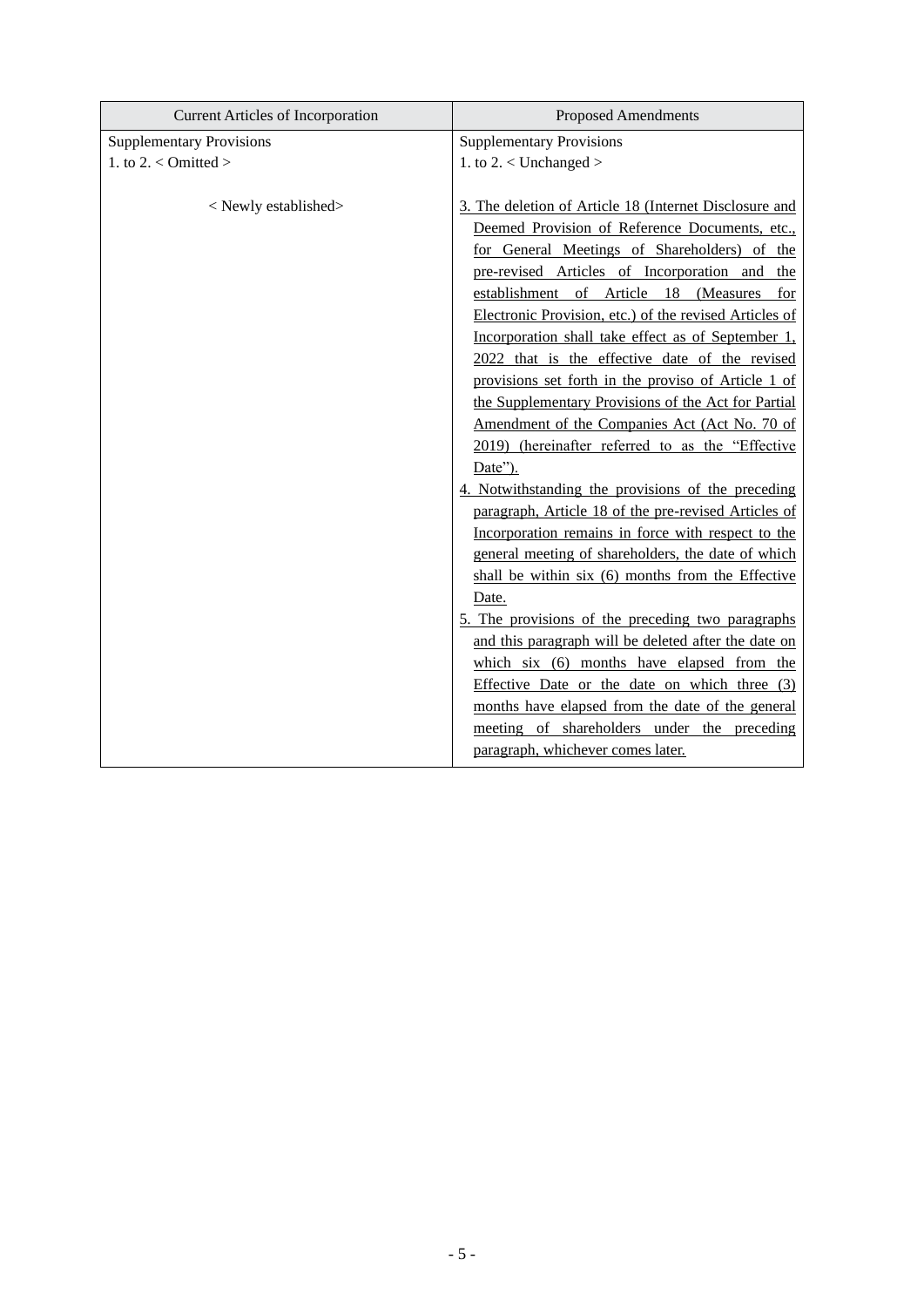| <b>Current Articles of Incorporation</b> | <b>Proposed Amendments</b>                                                                                                                                                                                                                                                                                                                                                                                                                                                                                                                                                                                                                                                                                                                                                                                                                                                                                                                                                                                                                                                                                                                                                                                          |
|------------------------------------------|---------------------------------------------------------------------------------------------------------------------------------------------------------------------------------------------------------------------------------------------------------------------------------------------------------------------------------------------------------------------------------------------------------------------------------------------------------------------------------------------------------------------------------------------------------------------------------------------------------------------------------------------------------------------------------------------------------------------------------------------------------------------------------------------------------------------------------------------------------------------------------------------------------------------------------------------------------------------------------------------------------------------------------------------------------------------------------------------------------------------------------------------------------------------------------------------------------------------|
| <b>Supplementary Provisions</b>          | <b>Supplementary Provisions</b>                                                                                                                                                                                                                                                                                                                                                                                                                                                                                                                                                                                                                                                                                                                                                                                                                                                                                                                                                                                                                                                                                                                                                                                     |
| 1. to 2. $<$ Omitted >                   | 1. to $2. <$ Unchanged $>$                                                                                                                                                                                                                                                                                                                                                                                                                                                                                                                                                                                                                                                                                                                                                                                                                                                                                                                                                                                                                                                                                                                                                                                          |
| <newly established=""></newly>           | 3. The deletion of Article 18 (Internet Disclosure and<br>Deemed Provision of Reference Documents, etc.,<br>for General Meetings of Shareholders) of the<br>pre-revised Articles of Incorporation and the<br>establishment of Article 18 (Measures<br>for<br>Electronic Provision, etc.) of the revised Articles of<br>Incorporation shall take effect as of September 1,<br>2022 that is the effective date of the revised<br>provisions set forth in the proviso of Article 1 of<br>the Supplementary Provisions of the Act for Partial<br>Amendment of the Companies Act (Act No. 70 of<br>2019) (hereinafter referred to as the "Effective<br>Date").<br>4. Notwithstanding the provisions of the preceding<br>paragraph, Article 18 of the pre-revised Articles of<br>Incorporation remains in force with respect to the<br>general meeting of shareholders, the date of which<br>shall be within six (6) months from the Effective<br>Date.<br>5. The provisions of the preceding two paragraphs<br>and this paragraph will be deleted after the date on<br>which six (6) months have elapsed from the<br>Effective Date or the date on which three $(3)$<br>months have elapsed from the date of the general |
|                                          | meeting of shareholders under the preceding<br>paragraph, whichever comes later.                                                                                                                                                                                                                                                                                                                                                                                                                                                                                                                                                                                                                                                                                                                                                                                                                                                                                                                                                                                                                                                                                                                                    |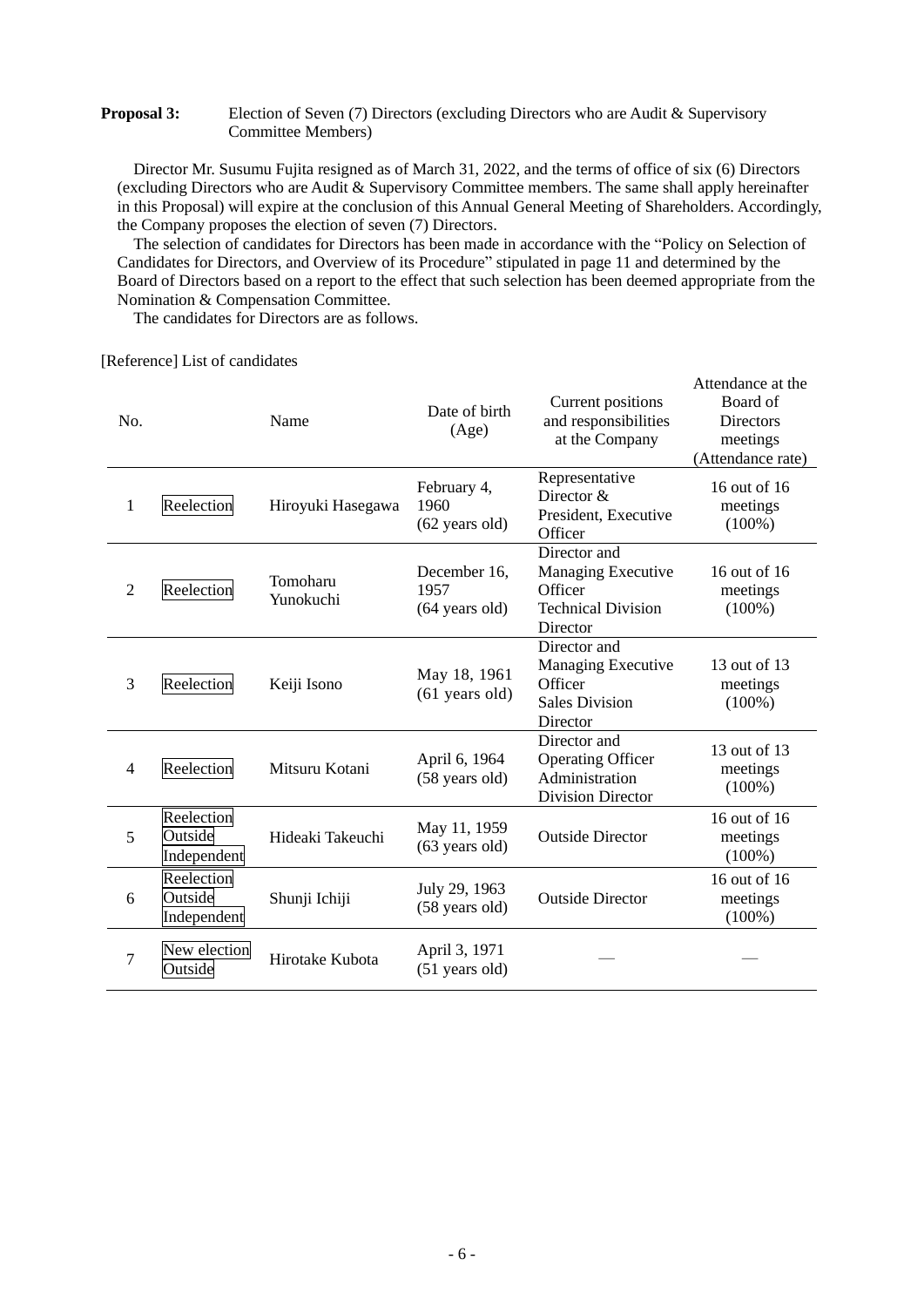### **Proposal 3:** Election of Seven (7) Directors (excluding Directors who are Audit & Supervisory Committee Members)

Director Mr. Susumu Fujita resigned as of March 31, 2022, and the terms of office of six (6) Directors (excluding Directors who are Audit & Supervisory Committee members. The same shall apply hereinafter in this Proposal) will expire at the conclusion of this Annual General Meeting of Shareholders. Accordingly, the Company proposes the election of seven (7) Directors.

The selection of candidates for Directors has been made in accordance with the "Policy on Selection of Candidates for Directors, and Overview of its Procedure" stipulated in page 11 and determined by the Board of Directors based on a report to the effect that such selection has been deemed appropriate from the Nomination & Compensation Committee.

Attendance at the

The candidates for Directors are as follows.

[Reference] List of candidates

| No.            |                                      | Name                  | Date of birth<br>(Age)                           | <b>Current positions</b><br>and responsibilities<br>at the Company                        | Auviniance at the<br>Board of<br><b>Directors</b><br>meetings<br>(Attendance rate) |
|----------------|--------------------------------------|-----------------------|--------------------------------------------------|-------------------------------------------------------------------------------------------|------------------------------------------------------------------------------------|
| $\mathbf{1}$   | Reelection                           | Hiroyuki Hasegawa     | February 4,<br>1960<br>(62 years old)            | Representative<br>Director &<br>President, Executive<br>Officer                           | 16 out of 16<br>meetings<br>$(100\%)$                                              |
| $\overline{2}$ | Reelection                           | Tomoharu<br>Yunokuchi | December 16,<br>1957<br>$(64 \text{ years old})$ | Director and<br>Managing Executive<br>Officer<br><b>Technical Division</b><br>Director    | 16 out of 16<br>meetings<br>$(100\%)$                                              |
| 3              | Reelection                           | Keiji Isono           | May 18, 1961<br>$(61$ years old)                 | Director and<br><b>Managing Executive</b><br>Officer<br><b>Sales Division</b><br>Director | 13 out of 13<br>meetings<br>$(100\%)$                                              |
| 4              | Reelection                           | Mitsuru Kotani        | April 6, 1964<br>(58 years old)                  | Director and<br><b>Operating Officer</b><br>Administration<br><b>Division Director</b>    | 13 out of 13<br>meetings<br>$(100\%)$                                              |
| 5              | Reelection<br>Outside<br>Independent | Hideaki Takeuchi      | May 11, 1959<br>$(63 \text{ years old})$         | <b>Outside Director</b>                                                                   | 16 out of 16<br>meetings<br>$(100\%)$                                              |
| 6              | Reelection<br>Outside<br>Independent | Shunji Ichiji         | July 29, 1963<br>(58 years old)                  | <b>Outside Director</b>                                                                   | 16 out of 16<br>meetings<br>$(100\%)$                                              |
| 7              | New election<br>Outside              | Hirotake Kubota       | April 3, 1971<br>$(51$ years old)                |                                                                                           |                                                                                    |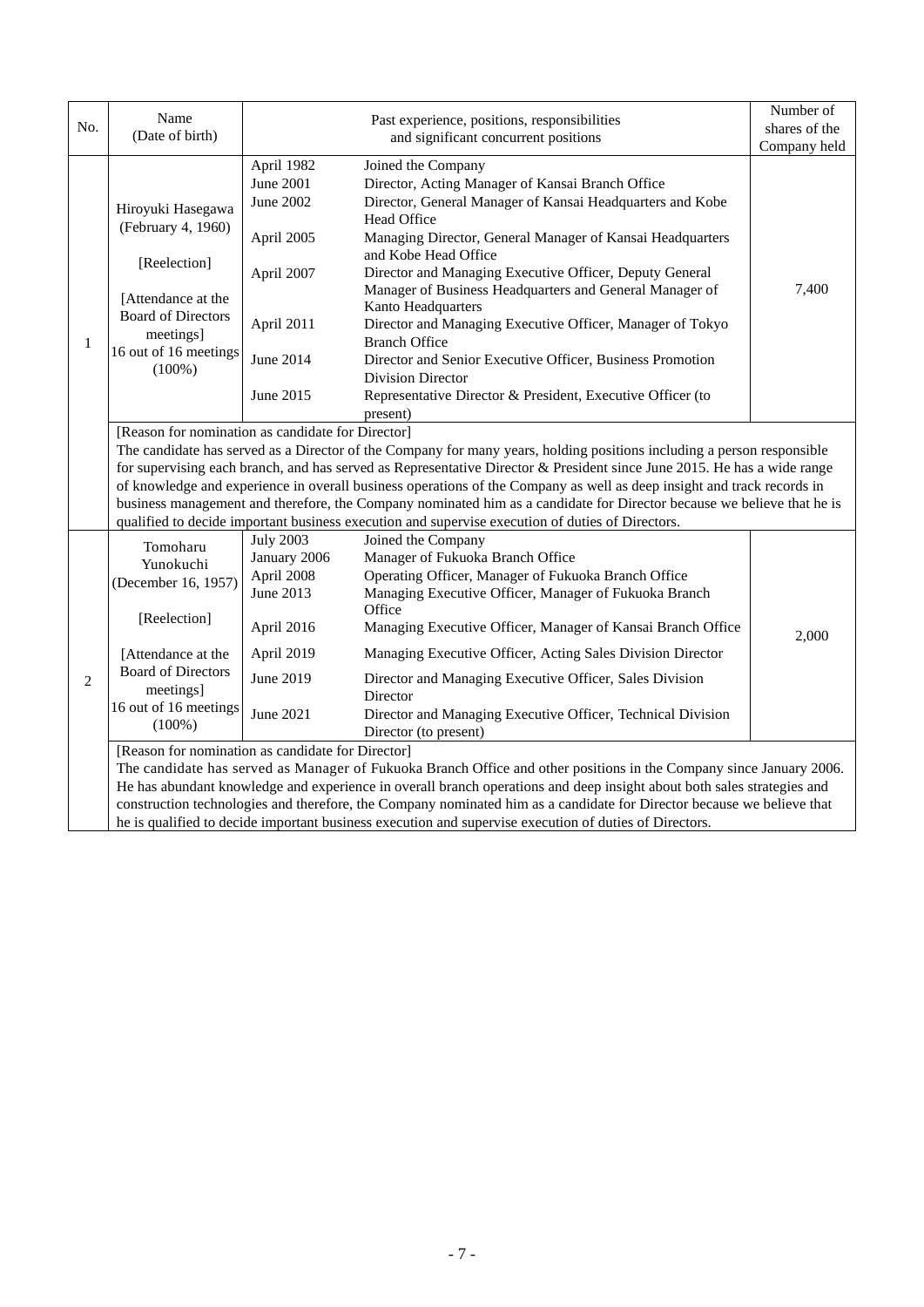|              | Name                                                                                                                                                                                                                                                                                                                                                                                                                                                                                                                                                                                                                                                           |                                                                                                                                                                                                                                                                                                                                                                                                                                                                                                                                                                                                                                                                                                                                                         | Past experience, positions, responsibilities                                                                                                                                                                                                                                                                                                                                                                                                        |               |  |  |
|--------------|----------------------------------------------------------------------------------------------------------------------------------------------------------------------------------------------------------------------------------------------------------------------------------------------------------------------------------------------------------------------------------------------------------------------------------------------------------------------------------------------------------------------------------------------------------------------------------------------------------------------------------------------------------------|---------------------------------------------------------------------------------------------------------------------------------------------------------------------------------------------------------------------------------------------------------------------------------------------------------------------------------------------------------------------------------------------------------------------------------------------------------------------------------------------------------------------------------------------------------------------------------------------------------------------------------------------------------------------------------------------------------------------------------------------------------|-----------------------------------------------------------------------------------------------------------------------------------------------------------------------------------------------------------------------------------------------------------------------------------------------------------------------------------------------------------------------------------------------------------------------------------------------------|---------------|--|--|
| No.          | (Date of birth)                                                                                                                                                                                                                                                                                                                                                                                                                                                                                                                                                                                                                                                | and significant concurrent positions                                                                                                                                                                                                                                                                                                                                                                                                                                                                                                                                                                                                                                                                                                                    |                                                                                                                                                                                                                                                                                                                                                                                                                                                     | shares of the |  |  |
|              |                                                                                                                                                                                                                                                                                                                                                                                                                                                                                                                                                                                                                                                                |                                                                                                                                                                                                                                                                                                                                                                                                                                                                                                                                                                                                                                                                                                                                                         |                                                                                                                                                                                                                                                                                                                                                                                                                                                     | Company held  |  |  |
| $\mathbf{1}$ | Hiroyuki Hasegawa<br>(February 4, 1960)<br>[Reelection]<br>[Attendance at the<br><b>Board of Directors</b><br>meetings]<br>16 out of 16 meetings<br>$(100\%)$                                                                                                                                                                                                                                                                                                                                                                                                                                                                                                  | April 1982<br>Joined the Company<br>June 2001<br>Director, Acting Manager of Kansai Branch Office<br>Director, General Manager of Kansai Headquarters and Kobe<br>June 2002<br>Head Office<br>Managing Director, General Manager of Kansai Headquarters<br>April 2005<br>and Kobe Head Office<br>Director and Managing Executive Officer, Deputy General<br>April 2007<br>Manager of Business Headquarters and General Manager of<br>Kanto Headquarters<br>April 2011<br>Director and Managing Executive Officer, Manager of Tokyo<br><b>Branch Office</b><br>June 2014<br>Director and Senior Executive Officer, Business Promotion<br><b>Division Director</b><br>June 2015<br>Representative Director & President, Executive Officer (to<br>present) |                                                                                                                                                                                                                                                                                                                                                                                                                                                     |               |  |  |
|              | [Reason for nomination as candidate for Director]<br>The candidate has served as a Director of the Company for many years, holding positions including a person responsible<br>for supervising each branch, and has served as Representative Director & President since June 2015. He has a wide range<br>of knowledge and experience in overall business operations of the Company as well as deep insight and track records in<br>business management and therefore, the Company nominated him as a candidate for Director because we believe that he is<br>qualified to decide important business execution and supervise execution of duties of Directors. |                                                                                                                                                                                                                                                                                                                                                                                                                                                                                                                                                                                                                                                                                                                                                         |                                                                                                                                                                                                                                                                                                                                                                                                                                                     |               |  |  |
| 2            | Tomoharu<br>Yunokuchi<br>(December 16, 1957)<br>[Reelection]<br>[Attendance at the<br><b>Board of Directors</b><br>meetings]<br>16 out of 16 meetings                                                                                                                                                                                                                                                                                                                                                                                                                                                                                                          | <b>July 2003</b><br>January 2006<br>April 2008<br>June 2013<br>April 2016<br>April 2019<br>June 2019<br>June 2021                                                                                                                                                                                                                                                                                                                                                                                                                                                                                                                                                                                                                                       | Joined the Company<br>Manager of Fukuoka Branch Office<br>Operating Officer, Manager of Fukuoka Branch Office<br>Managing Executive Officer, Manager of Fukuoka Branch<br>Office<br>Managing Executive Officer, Manager of Kansai Branch Office<br>Managing Executive Officer, Acting Sales Division Director<br>Director and Managing Executive Officer, Sales Division<br>Director<br>Director and Managing Executive Officer, Technical Division | 2,000         |  |  |
|              | $(100\%)$<br>Director (to present)<br>[Reason for nomination as candidate for Director]<br>The candidate has served as Manager of Fukuoka Branch Office and other positions in the Company since January 2006.<br>He has abundant knowledge and experience in overall branch operations and deep insight about both sales strategies and<br>construction technologies and therefore, the Company nominated him as a candidate for Director because we believe that<br>he is qualified to decide important business execution and supervise execution of duties of Directors.                                                                                   |                                                                                                                                                                                                                                                                                                                                                                                                                                                                                                                                                                                                                                                                                                                                                         |                                                                                                                                                                                                                                                                                                                                                                                                                                                     |               |  |  |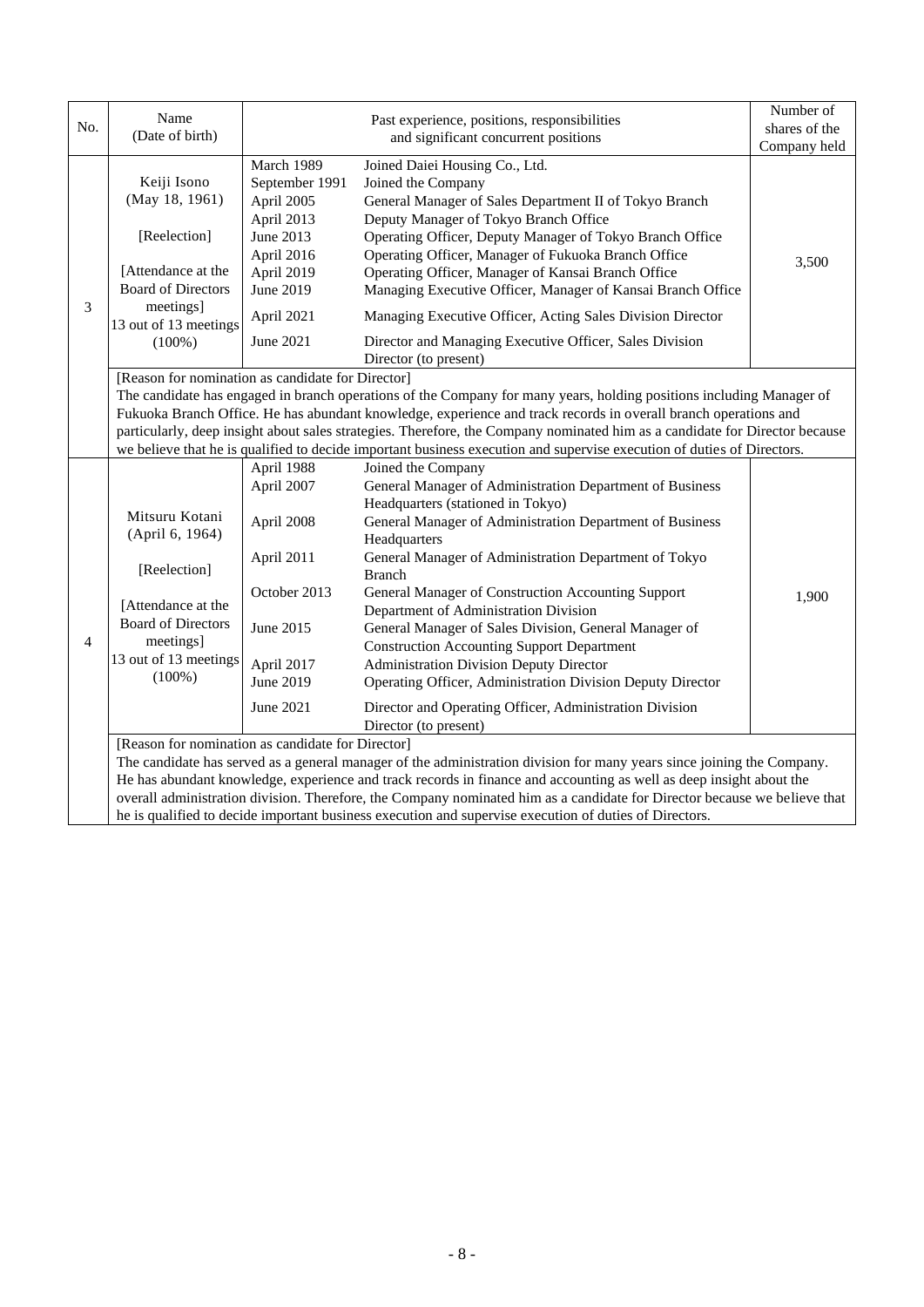|                | Name                                                                                                                                                                                                                                                                                                                                                                                                                                                                                                                                                  | Past experience, positions, responsibilities<br>and significant concurrent positions                                                      |                                                                                                                                                                                                                                                                                                                                                                                                                                                                                                                                                                                                                                                                                            | Number of     |  |  |
|----------------|-------------------------------------------------------------------------------------------------------------------------------------------------------------------------------------------------------------------------------------------------------------------------------------------------------------------------------------------------------------------------------------------------------------------------------------------------------------------------------------------------------------------------------------------------------|-------------------------------------------------------------------------------------------------------------------------------------------|--------------------------------------------------------------------------------------------------------------------------------------------------------------------------------------------------------------------------------------------------------------------------------------------------------------------------------------------------------------------------------------------------------------------------------------------------------------------------------------------------------------------------------------------------------------------------------------------------------------------------------------------------------------------------------------------|---------------|--|--|
| No.            | (Date of birth)                                                                                                                                                                                                                                                                                                                                                                                                                                                                                                                                       |                                                                                                                                           |                                                                                                                                                                                                                                                                                                                                                                                                                                                                                                                                                                                                                                                                                            | shares of the |  |  |
|                |                                                                                                                                                                                                                                                                                                                                                                                                                                                                                                                                                       |                                                                                                                                           | Company held                                                                                                                                                                                                                                                                                                                                                                                                                                                                                                                                                                                                                                                                               |               |  |  |
| 3              | Keiji Isono<br>(May 18, 1961)<br>[Reelection]<br>[Attendance at the<br><b>Board of Directors</b><br>meetings]<br>13 out of 13 meetings<br>$(100\%)$                                                                                                                                                                                                                                                                                                                                                                                                   | March 1989<br>September 1991<br>April 2005<br>April 2013<br>June 2013<br>April 2016<br>April 2019<br>June 2019<br>April 2021<br>June 2021 | Joined Daiei Housing Co., Ltd.<br>Joined the Company<br>General Manager of Sales Department II of Tokyo Branch<br>Deputy Manager of Tokyo Branch Office<br>Operating Officer, Deputy Manager of Tokyo Branch Office<br>Operating Officer, Manager of Fukuoka Branch Office<br>Operating Officer, Manager of Kansai Branch Office<br>Managing Executive Officer, Manager of Kansai Branch Office<br>Managing Executive Officer, Acting Sales Division Director<br>Director and Managing Executive Officer, Sales Division                                                                                                                                                                   | 3,500         |  |  |
|                |                                                                                                                                                                                                                                                                                                                                                                                                                                                                                                                                                       |                                                                                                                                           | Director (to present)                                                                                                                                                                                                                                                                                                                                                                                                                                                                                                                                                                                                                                                                      |               |  |  |
|                | [Reason for nomination as candidate for Director]<br>The candidate has engaged in branch operations of the Company for many years, holding positions including Manager of<br>Fukuoka Branch Office. He has abundant knowledge, experience and track records in overall branch operations and<br>particularly, deep insight about sales strategies. Therefore, the Company nominated him as a candidate for Director because<br>we believe that he is qualified to decide important business execution and supervise execution of duties of Directors. |                                                                                                                                           |                                                                                                                                                                                                                                                                                                                                                                                                                                                                                                                                                                                                                                                                                            |               |  |  |
| $\overline{4}$ | Mitsuru Kotani<br>(April 6, 1964)<br>[Reelection]<br>[Attendance at the<br><b>Board of Directors</b><br>meetings]<br>13 out of 13 meetings<br>$(100\%)$                                                                                                                                                                                                                                                                                                                                                                                               | April 1988<br>April 2007<br>April 2008<br>April 2011<br>October 2013<br>June 2015<br>April 2017<br>June 2019<br>June 2021                 | Joined the Company<br>General Manager of Administration Department of Business<br>Headquarters (stationed in Tokyo)<br>General Manager of Administration Department of Business<br>Headquarters<br>General Manager of Administration Department of Tokyo<br><b>Branch</b><br>General Manager of Construction Accounting Support<br>Department of Administration Division<br>General Manager of Sales Division, General Manager of<br><b>Construction Accounting Support Department</b><br><b>Administration Division Deputy Director</b><br>Operating Officer, Administration Division Deputy Director<br>Director and Operating Officer, Administration Division<br>Director (to present) | 1,900         |  |  |
|                | [Reason for nomination as candidate for Director]<br>The candidate has served as a general manager of the administration division for many years since joining the Company.<br>He has abundant knowledge, experience and track records in finance and accounting as well as deep insight about the<br>overall administration division. Therefore, the Company nominated him as a candidate for Director because we believe that<br>he is qualified to decide important business execution and supervise execution of duties of Directors.             |                                                                                                                                           |                                                                                                                                                                                                                                                                                                                                                                                                                                                                                                                                                                                                                                                                                            |               |  |  |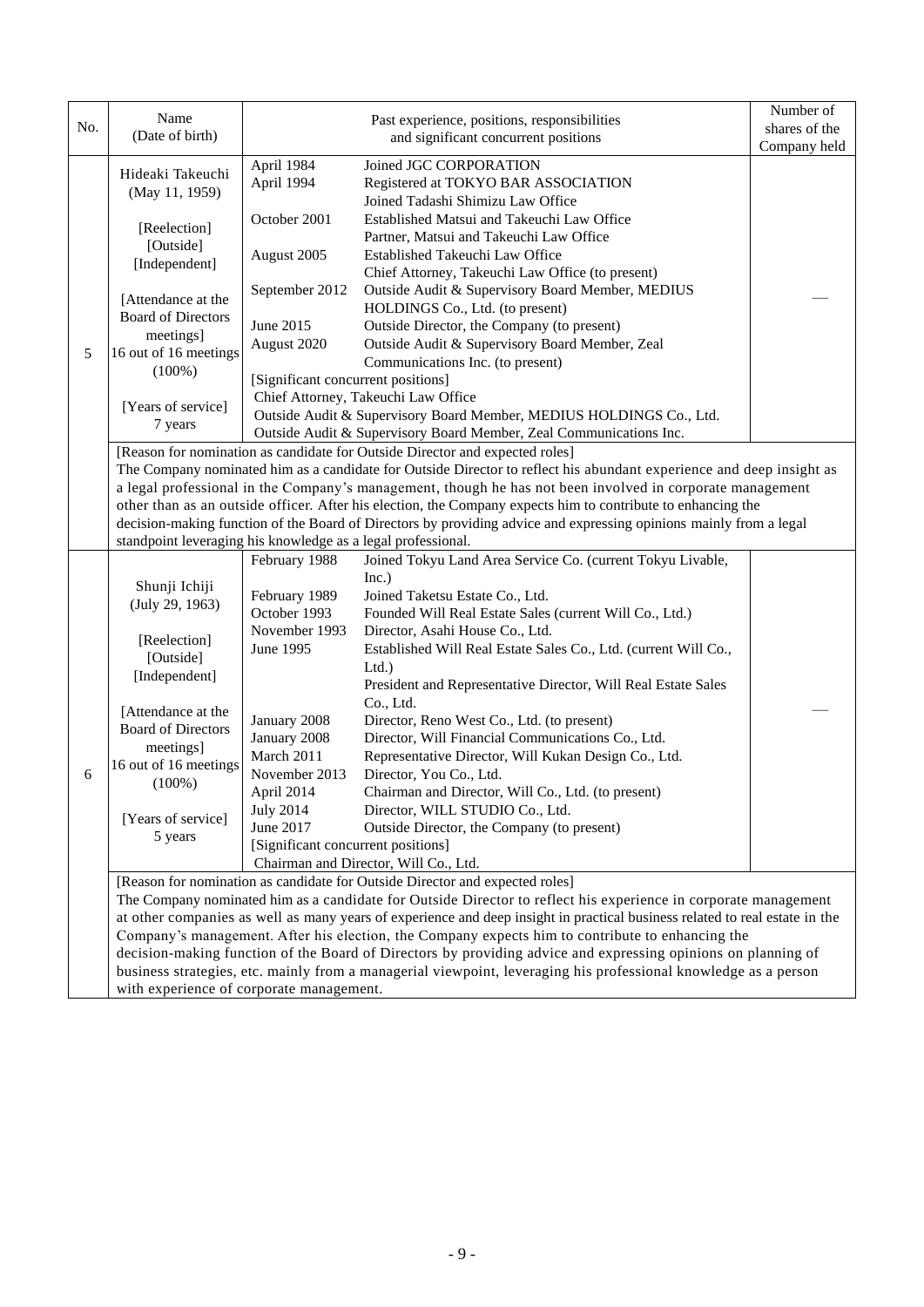|     | Name                                                                                                                        |                                       | Past experience, positions, responsibilities                                                                                                                                                                              | Number of    |  |  |
|-----|-----------------------------------------------------------------------------------------------------------------------------|---------------------------------------|---------------------------------------------------------------------------------------------------------------------------------------------------------------------------------------------------------------------------|--------------|--|--|
| No. | (Date of birth)                                                                                                             |                                       | shares of the                                                                                                                                                                                                             |              |  |  |
|     |                                                                                                                             | and significant concurrent positions  |                                                                                                                                                                                                                           | Company held |  |  |
|     | Hideaki Takeuchi                                                                                                            | April 1984                            | Joined JGC CORPORATION                                                                                                                                                                                                    |              |  |  |
|     | (May 11, 1959)                                                                                                              | April 1994                            | Registered at TOKYO BAR ASSOCIATION                                                                                                                                                                                       |              |  |  |
|     |                                                                                                                             |                                       | Joined Tadashi Shimizu Law Office                                                                                                                                                                                         |              |  |  |
|     | [Reelection]                                                                                                                | October 2001                          | Established Matsui and Takeuchi Law Office                                                                                                                                                                                |              |  |  |
|     | [Outside]                                                                                                                   |                                       | Partner, Matsui and Takeuchi Law Office                                                                                                                                                                                   |              |  |  |
|     | [Independent]                                                                                                               | August 2005                           | Established Takeuchi Law Office                                                                                                                                                                                           |              |  |  |
|     |                                                                                                                             |                                       | Chief Attorney, Takeuchi Law Office (to present)                                                                                                                                                                          |              |  |  |
|     | [Attendance at the                                                                                                          | September 2012                        | Outside Audit & Supervisory Board Member, MEDIUS                                                                                                                                                                          |              |  |  |
|     | <b>Board of Directors</b>                                                                                                   |                                       | HOLDINGS Co., Ltd. (to present)                                                                                                                                                                                           |              |  |  |
|     | meetings]                                                                                                                   | June 2015                             | Outside Director, the Company (to present)                                                                                                                                                                                |              |  |  |
| 5   | 16 out of 16 meetings                                                                                                       | August 2020                           | Outside Audit & Supervisory Board Member, Zeal                                                                                                                                                                            |              |  |  |
|     | $(100\%)$                                                                                                                   |                                       | Communications Inc. (to present)                                                                                                                                                                                          |              |  |  |
|     |                                                                                                                             | [Significant concurrent positions]    |                                                                                                                                                                                                                           |              |  |  |
|     | [Years of service]                                                                                                          |                                       | Chief Attorney, Takeuchi Law Office                                                                                                                                                                                       |              |  |  |
|     | 7 years                                                                                                                     |                                       | Outside Audit & Supervisory Board Member, MEDIUS HOLDINGS Co., Ltd.                                                                                                                                                       |              |  |  |
|     |                                                                                                                             |                                       | Outside Audit & Supervisory Board Member, Zeal Communications Inc.                                                                                                                                                        |              |  |  |
|     |                                                                                                                             |                                       | [Reason for nomination as candidate for Outside Director and expected roles]                                                                                                                                              |              |  |  |
|     |                                                                                                                             |                                       | The Company nominated him as a candidate for Outside Director to reflect his abundant experience and deep insight as                                                                                                      |              |  |  |
|     |                                                                                                                             |                                       | a legal professional in the Company's management, though he has not been involved in corporate management<br>other than as an outside officer. After his election, the Company expects him to contribute to enhancing the |              |  |  |
|     |                                                                                                                             |                                       | decision-making function of the Board of Directors by providing advice and expressing opinions mainly from a legal                                                                                                        |              |  |  |
|     | standpoint leveraging his knowledge as a legal professional.                                                                |                                       |                                                                                                                                                                                                                           |              |  |  |
|     |                                                                                                                             | February 1988                         | Joined Tokyu Land Area Service Co. (current Tokyu Livable,                                                                                                                                                                |              |  |  |
|     |                                                                                                                             |                                       | Inc.)                                                                                                                                                                                                                     |              |  |  |
|     | Shunji Ichiji<br>(July 29, 1963)                                                                                            | February 1989                         | Joined Taketsu Estate Co., Ltd.                                                                                                                                                                                           |              |  |  |
|     |                                                                                                                             | October 1993                          | Founded Will Real Estate Sales (current Will Co., Ltd.)                                                                                                                                                                   |              |  |  |
|     |                                                                                                                             | November 1993                         | Director, Asahi House Co., Ltd.                                                                                                                                                                                           |              |  |  |
|     | [Reelection]                                                                                                                | June 1995                             | Established Will Real Estate Sales Co., Ltd. (current Will Co.,                                                                                                                                                           |              |  |  |
|     | [Outside]                                                                                                                   |                                       | Ltd.                                                                                                                                                                                                                      |              |  |  |
|     | [Independent]                                                                                                               |                                       | President and Representative Director, Will Real Estate Sales                                                                                                                                                             |              |  |  |
|     |                                                                                                                             |                                       | Co., Ltd.                                                                                                                                                                                                                 |              |  |  |
|     | [Attendance at the<br><b>Board of Directors</b>                                                                             | January 2008                          | Director, Reno West Co., Ltd. (to present)                                                                                                                                                                                |              |  |  |
|     | meetings]                                                                                                                   | January 2008                          | Director, Will Financial Communications Co., Ltd.                                                                                                                                                                         |              |  |  |
|     | 16 out of 16 meetings                                                                                                       | March 2011                            | Representative Director, Will Kukan Design Co., Ltd.                                                                                                                                                                      |              |  |  |
| 6   | $(100\%)$                                                                                                                   | November 2013                         | Director, You Co., Ltd.                                                                                                                                                                                                   |              |  |  |
|     |                                                                                                                             | April 2014                            | Chairman and Director, Will Co., Ltd. (to present)                                                                                                                                                                        |              |  |  |
|     | [Years of service]                                                                                                          | <b>July 2014</b>                      | Director, WILL STUDIO Co., Ltd.                                                                                                                                                                                           |              |  |  |
|     | 5 years                                                                                                                     | June 2017                             | Outside Director, the Company (to present)                                                                                                                                                                                |              |  |  |
|     |                                                                                                                             | [Significant concurrent positions]    |                                                                                                                                                                                                                           |              |  |  |
|     |                                                                                                                             | Chairman and Director, Will Co., Ltd. |                                                                                                                                                                                                                           |              |  |  |
|     | [Reason for nomination as candidate for Outside Director and expected roles]                                                |                                       |                                                                                                                                                                                                                           |              |  |  |
|     |                                                                                                                             |                                       | The Company nominated him as a candidate for Outside Director to reflect his experience in corporate management                                                                                                           |              |  |  |
|     | at other companies as well as many years of experience and deep insight in practical business related to real estate in the |                                       |                                                                                                                                                                                                                           |              |  |  |
|     | Company's management. After his election, the Company expects him to contribute to enhancing the                            |                                       |                                                                                                                                                                                                                           |              |  |  |
|     | decision-making function of the Board of Directors by providing advice and expressing opinions on planning of               |                                       |                                                                                                                                                                                                                           |              |  |  |
|     | business strategies, etc. mainly from a managerial viewpoint, leveraging his professional knowledge as a person             |                                       |                                                                                                                                                                                                                           |              |  |  |
|     | with experience of corporate management.                                                                                    |                                       |                                                                                                                                                                                                                           |              |  |  |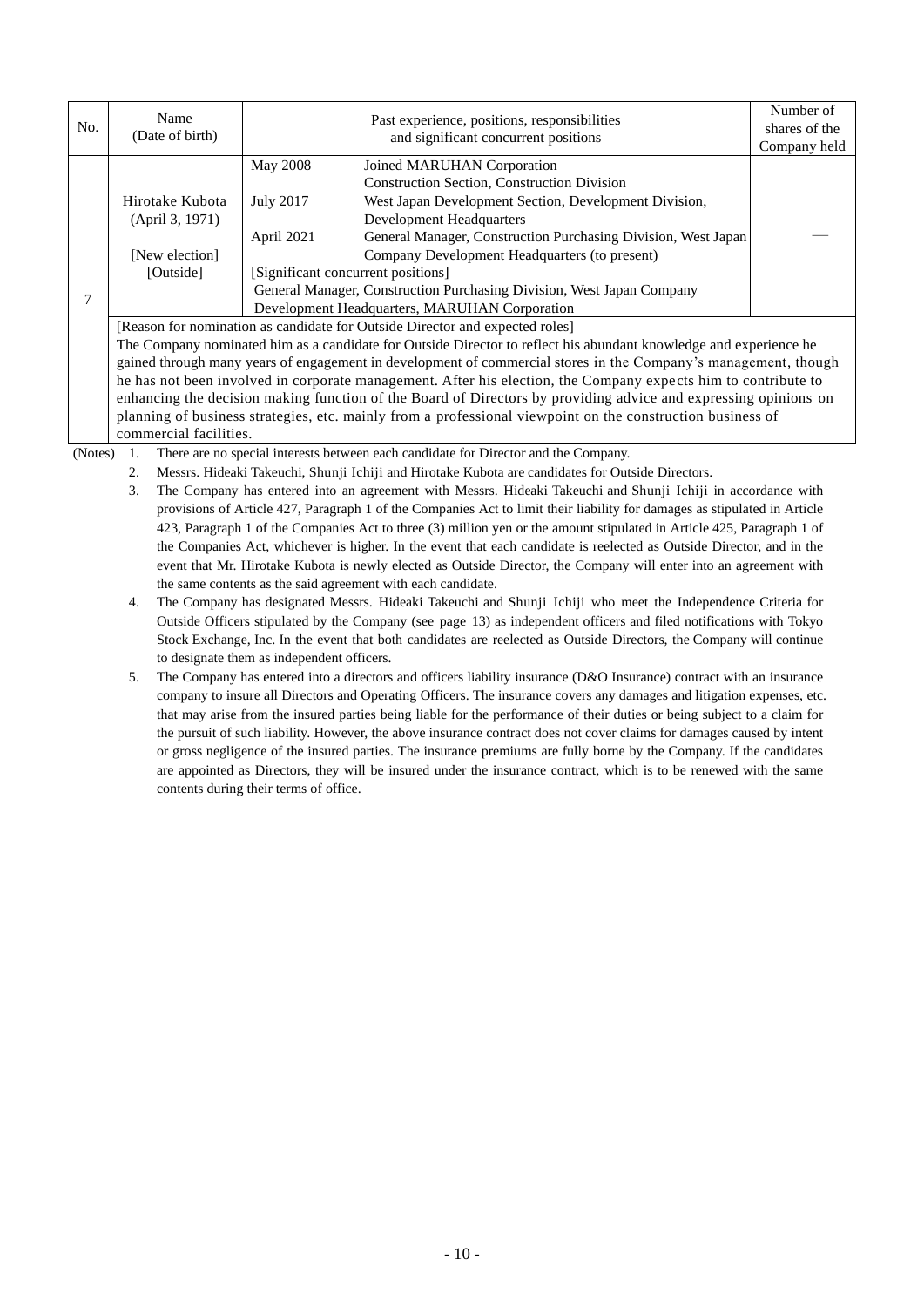|     | Name                                                                                                                                                                                                                                                                                                                                         | Past experience, positions, responsibilities<br>and significant concurrent positions |                                                                       | Number of     |  |  |  |  |
|-----|----------------------------------------------------------------------------------------------------------------------------------------------------------------------------------------------------------------------------------------------------------------------------------------------------------------------------------------------|--------------------------------------------------------------------------------------|-----------------------------------------------------------------------|---------------|--|--|--|--|
| No. | (Date of birth)                                                                                                                                                                                                                                                                                                                              |                                                                                      |                                                                       | shares of the |  |  |  |  |
|     |                                                                                                                                                                                                                                                                                                                                              |                                                                                      |                                                                       | Company held  |  |  |  |  |
|     |                                                                                                                                                                                                                                                                                                                                              | May 2008                                                                             | Joined MARUHAN Corporation                                            |               |  |  |  |  |
|     |                                                                                                                                                                                                                                                                                                                                              |                                                                                      | Construction Section, Construction Division                           |               |  |  |  |  |
|     | Hirotake Kubota                                                                                                                                                                                                                                                                                                                              | <b>July 2017</b>                                                                     | West Japan Development Section, Development Division,                 |               |  |  |  |  |
|     | (April 3, 1971)                                                                                                                                                                                                                                                                                                                              |                                                                                      | <b>Development Headquarters</b>                                       |               |  |  |  |  |
|     |                                                                                                                                                                                                                                                                                                                                              | April 2021                                                                           | General Manager, Construction Purchasing Division, West Japan         |               |  |  |  |  |
|     | [New election]                                                                                                                                                                                                                                                                                                                               |                                                                                      | Company Development Headquarters (to present)                         |               |  |  |  |  |
|     | [Outside]                                                                                                                                                                                                                                                                                                                                    |                                                                                      | [Significant concurrent positions]                                    |               |  |  |  |  |
| 7   |                                                                                                                                                                                                                                                                                                                                              |                                                                                      | General Manager, Construction Purchasing Division, West Japan Company |               |  |  |  |  |
|     |                                                                                                                                                                                                                                                                                                                                              |                                                                                      | Development Headquarters, MARUHAN Corporation                         |               |  |  |  |  |
|     | [Reason for nomination as candidate for Outside Director and expected roles]                                                                                                                                                                                                                                                                 |                                                                                      |                                                                       |               |  |  |  |  |
|     | The Company nominated him as a candidate for Outside Director to reflect his abundant knowledge and experience he                                                                                                                                                                                                                            |                                                                                      |                                                                       |               |  |  |  |  |
|     | gained through many years of engagement in development of commercial stores in the Company's management, though                                                                                                                                                                                                                              |                                                                                      |                                                                       |               |  |  |  |  |
|     | he has not been involved in corporate management. After his election, the Company expects him to contribute to                                                                                                                                                                                                                               |                                                                                      |                                                                       |               |  |  |  |  |
|     | enhancing the decision making function of the Board of Directors by providing advice and expressing opinions on                                                                                                                                                                                                                              |                                                                                      |                                                                       |               |  |  |  |  |
|     | planning of business strategies, etc. mainly from a professional viewpoint on the construction business of                                                                                                                                                                                                                                   |                                                                                      |                                                                       |               |  |  |  |  |
|     | commercial facilities.                                                                                                                                                                                                                                                                                                                       |                                                                                      |                                                                       |               |  |  |  |  |
|     | $(N_{i+1}, N_{i+1}, N_{i+1}, N_{i+1}, N_{i+1}, N_{i+1}, N_{i+1}, N_{i+1}, N_{i+1}, N_{i+1}, N_{i+1}, N_{i+1}, N_{i+1}, N_{i+1}, N_{i+1}, N_{i+1}, N_{i+1}, N_{i+1}, N_{i+1}, N_{i+1}, N_{i+1}, N_{i+1}, N_{i+1}, N_{i+1}, N_{i+1}, N_{i+1}, N_{i+1}, N_{i+1}, N_{i+1}, N_{i+1}, N_{i+1}, N_{i+1}, N_{i+1}, N_{i+1}, N_{i+1}, N_{i+1}, N_{i+$ |                                                                                      |                                                                       |               |  |  |  |  |

(Notes) 1. There are no special interests between each candidate for Director and the Company.

2. Messrs. Hideaki Takeuchi, Shunji Ichiji and Hirotake Kubota are candidates for Outside Directors.

3. The Company has entered into an agreement with Messrs. Hideaki Takeuchi and Shunji Ichiji in accordance with provisions of Article 427, Paragraph 1 of the Companies Act to limit their liability for damages as stipulated in Article 423, Paragraph 1 of the Companies Act to three (3) million yen or the amount stipulated in Article 425, Paragraph 1 of the Companies Act, whichever is higher. In the event that each candidate is reelected as Outside Director, and in the event that Mr. Hirotake Kubota is newly elected as Outside Director, the Company will enter into an agreement with the same contents as the said agreement with each candidate.

4. The Company has designated Messrs. Hideaki Takeuchi and Shunji Ichiji who meet the Independence Criteria for Outside Officers stipulated by the Company (see page 13) as independent officers and filed notifications with Tokyo Stock Exchange, Inc. In the event that both candidates are reelected as Outside Directors, the Company will continue to designate them as independent officers.

5. The Company has entered into a directors and officers liability insurance (D&O Insurance) contract with an insurance company to insure all Directors and Operating Officers. The insurance covers any damages and litigation expenses, etc. that may arise from the insured parties being liable for the performance of their duties or being subject to a claim for the pursuit of such liability. However, the above insurance contract does not cover claims for damages caused by intent or gross negligence of the insured parties. The insurance premiums are fully borne by the Company. If the candidates are appointed as Directors, they will be insured under the insurance contract, which is to be renewed with the same contents during their terms of office.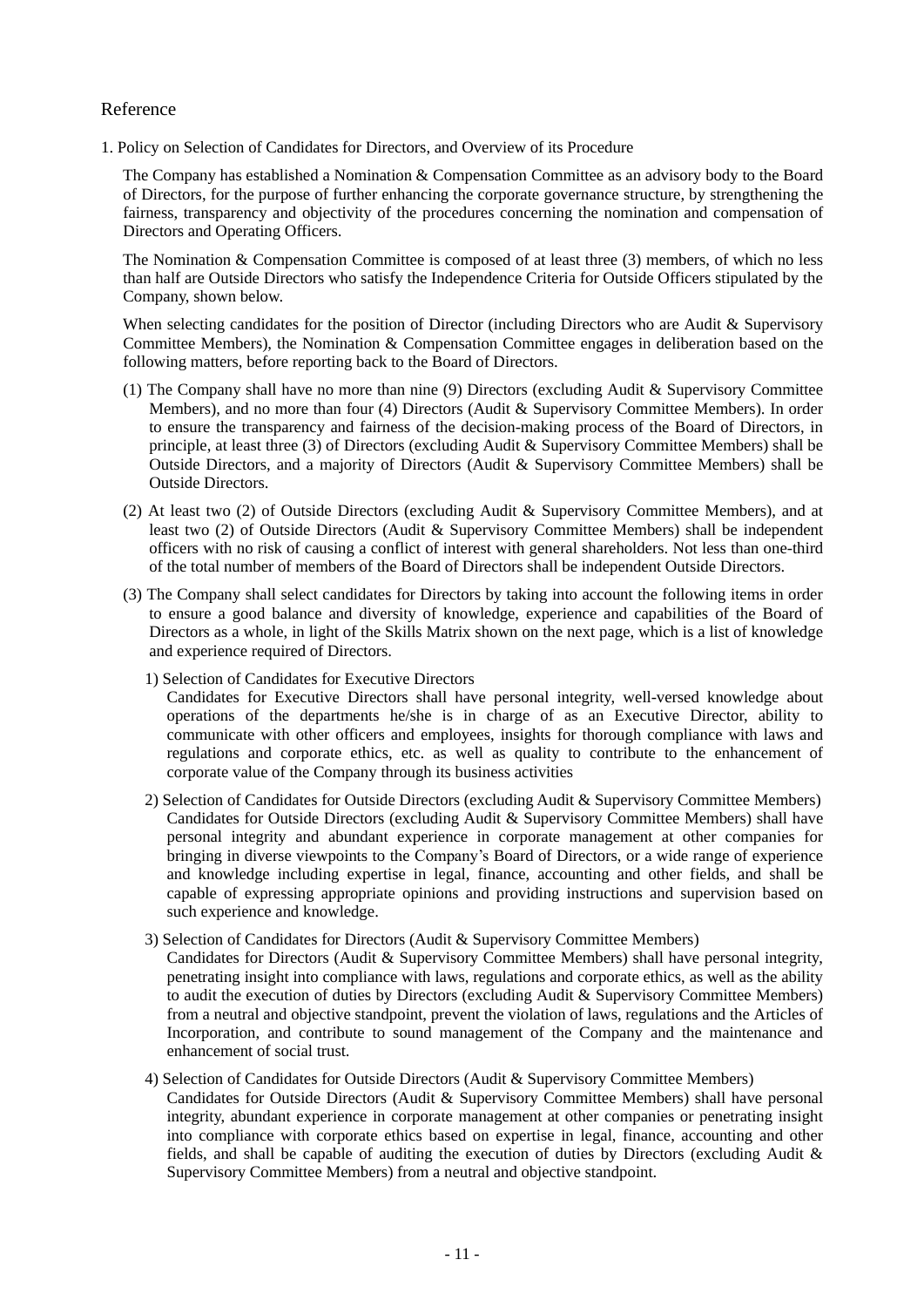## Reference

1. Policy on Selection of Candidates for Directors, and Overview of its Procedure

The Company has established a Nomination & Compensation Committee as an advisory body to the Board of Directors, for the purpose of further enhancing the corporate governance structure, by strengthening the fairness, transparency and objectivity of the procedures concerning the nomination and compensation of Directors and Operating Officers.

The Nomination & Compensation Committee is composed of at least three (3) members, of which no less than half are Outside Directors who satisfy the Independence Criteria for Outside Officers stipulated by the Company, shown below.

When selecting candidates for the position of Director (including Directors who are Audit & Supervisory Committee Members), the Nomination & Compensation Committee engages in deliberation based on the following matters, before reporting back to the Board of Directors.

- (1) The Company shall have no more than nine (9) Directors (excluding Audit & Supervisory Committee Members), and no more than four (4) Directors (Audit & Supervisory Committee Members). In order to ensure the transparency and fairness of the decision-making process of the Board of Directors, in principle, at least three (3) of Directors (excluding Audit & Supervisory Committee Members) shall be Outside Directors, and a majority of Directors (Audit & Supervisory Committee Members) shall be Outside Directors.
- (2) At least two (2) of Outside Directors (excluding Audit & Supervisory Committee Members), and at least two (2) of Outside Directors (Audit & Supervisory Committee Members) shall be independent officers with no risk of causing a conflict of interest with general shareholders. Not less than one-third of the total number of members of the Board of Directors shall be independent Outside Directors.
- (3) The Company shall select candidates for Directors by taking into account the following items in order to ensure a good balance and diversity of knowledge, experience and capabilities of the Board of Directors as a whole, in light of the Skills Matrix shown on the next page, which is a list of knowledge and experience required of Directors.
	- 1) Selection of Candidates for Executive Directors

Candidates for Executive Directors shall have personal integrity, well-versed knowledge about operations of the departments he/she is in charge of as an Executive Director, ability to communicate with other officers and employees, insights for thorough compliance with laws and regulations and corporate ethics, etc. as well as quality to contribute to the enhancement of corporate value of the Company through its business activities

- 2) Selection of Candidates for Outside Directors (excluding Audit & Supervisory Committee Members) Candidates for Outside Directors (excluding Audit & Supervisory Committee Members) shall have personal integrity and abundant experience in corporate management at other companies for bringing in diverse viewpoints to the Company's Board of Directors, or a wide range of experience and knowledge including expertise in legal, finance, accounting and other fields, and shall be capable of expressing appropriate opinions and providing instructions and supervision based on such experience and knowledge.
- 3) Selection of Candidates for Directors (Audit & Supervisory Committee Members)
- Candidates for Directors (Audit & Supervisory Committee Members) shall have personal integrity, penetrating insight into compliance with laws, regulations and corporate ethics, as well as the ability to audit the execution of duties by Directors (excluding Audit & Supervisory Committee Members) from a neutral and objective standpoint, prevent the violation of laws, regulations and the Articles of Incorporation, and contribute to sound management of the Company and the maintenance and enhancement of social trust.
- 4) Selection of Candidates for Outside Directors (Audit & Supervisory Committee Members) Candidates for Outside Directors (Audit & Supervisory Committee Members) shall have personal integrity, abundant experience in corporate management at other companies or penetrating insight into compliance with corporate ethics based on expertise in legal, finance, accounting and other fields, and shall be capable of auditing the execution of duties by Directors (excluding Audit & Supervisory Committee Members) from a neutral and objective standpoint.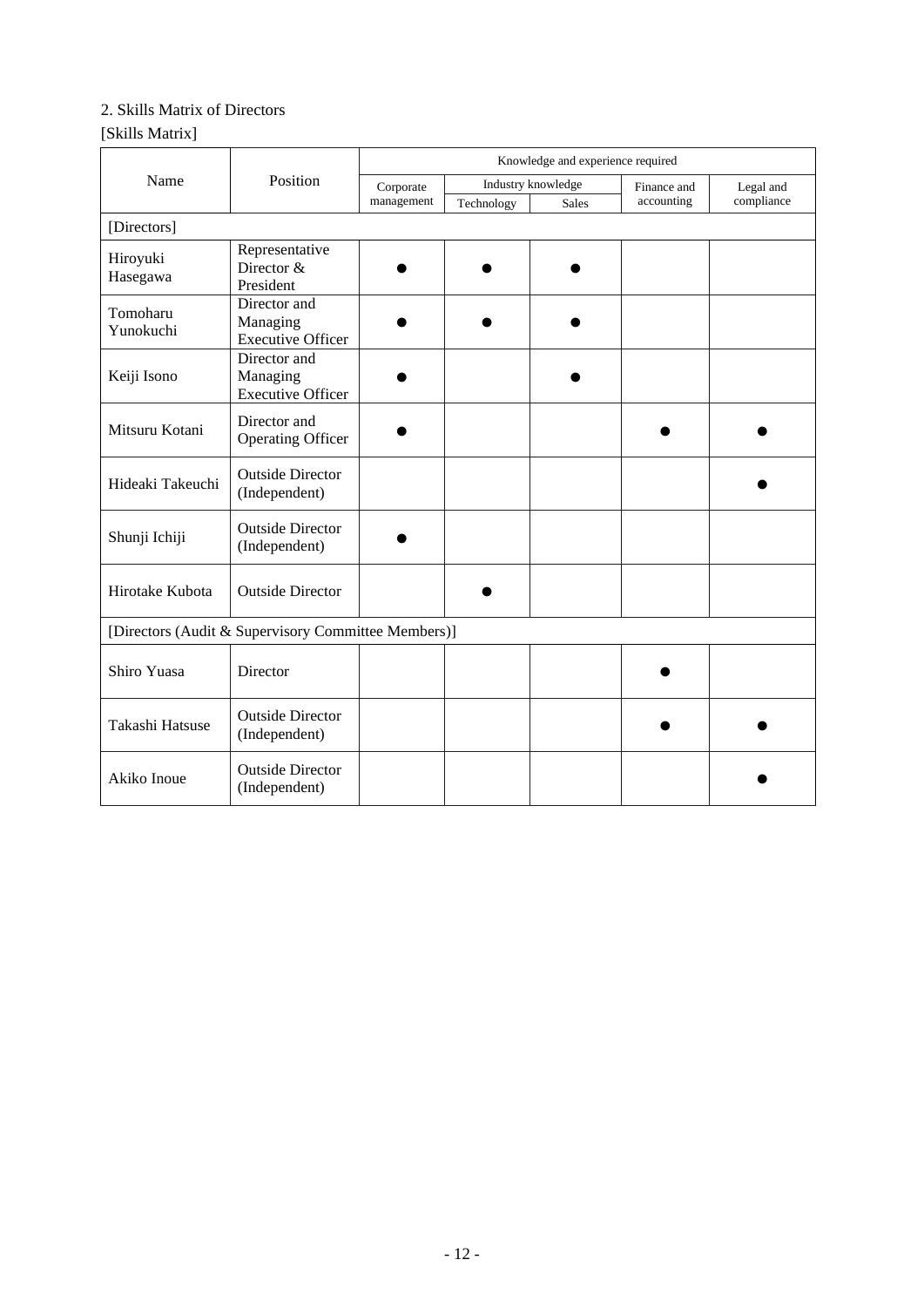# 2. Skills Matrix of Directors

# [Skills Matrix]

|                                                     | Position                                 | Knowledge and experience required |                    |              |             |            |
|-----------------------------------------------------|------------------------------------------|-----------------------------------|--------------------|--------------|-------------|------------|
| Name                                                |                                          | Corporate                         | Industry knowledge |              | Finance and | Legal and  |
|                                                     |                                          | management                        | Technology         | <b>Sales</b> | accounting  | compliance |
| [Directors]                                         |                                          |                                   |                    |              |             |            |
| Hiroyuki                                            | Representative                           |                                   |                    |              |             |            |
| Hasegawa                                            | Director &<br>President                  |                                   |                    |              |             |            |
| Tomoharu                                            | Director and                             |                                   |                    |              |             |            |
| Yunokuchi                                           | Managing<br><b>Executive Officer</b>     |                                   |                    |              |             |            |
|                                                     | Director and                             |                                   |                    |              |             |            |
| Keiji Isono                                         | Managing<br><b>Executive Officer</b>     |                                   |                    |              |             |            |
|                                                     | Director and                             |                                   |                    |              |             |            |
| Mitsuru Kotani                                      | <b>Operating Officer</b>                 |                                   |                    |              |             |            |
| Hideaki Takeuchi                                    | <b>Outside Director</b><br>(Independent) |                                   |                    |              |             |            |
| Shunji Ichiji                                       | <b>Outside Director</b><br>(Independent) |                                   |                    |              |             |            |
| Hirotake Kubota                                     | <b>Outside Director</b>                  |                                   |                    |              |             |            |
| [Directors (Audit & Supervisory Committee Members)] |                                          |                                   |                    |              |             |            |
| Shiro Yuasa                                         | Director                                 |                                   |                    |              |             |            |
| Takashi Hatsuse                                     | <b>Outside Director</b><br>(Independent) |                                   |                    |              |             |            |
| Akiko Inoue                                         | <b>Outside Director</b><br>(Independent) |                                   |                    |              |             |            |